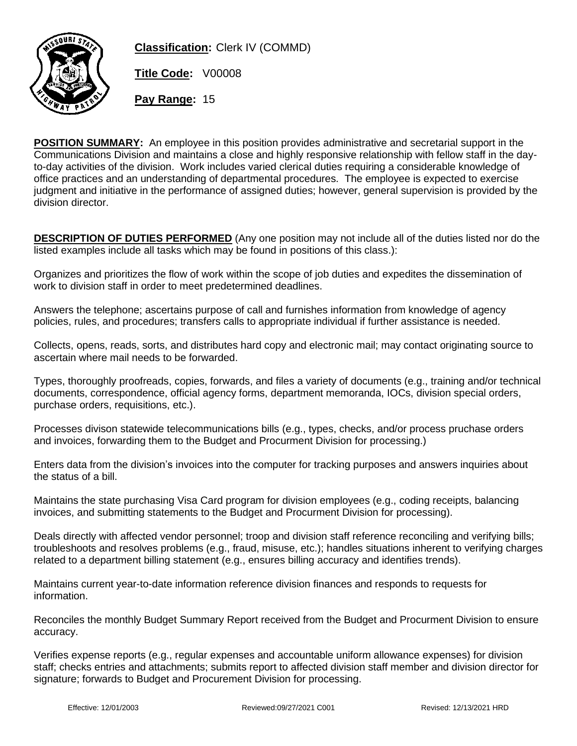

**Classification:** Clerk IV (COMMD)

**Title Code:** V00008

**Pay Range:** 15

**POSITION SUMMARY:** An employee in this position provides administrative and secretarial support in the Communications Division and maintains a close and highly responsive relationship with fellow staff in the dayto-day activities of the division. Work includes varied clerical duties requiring a considerable knowledge of office practices and an understanding of departmental procedures. The employee is expected to exercise judgment and initiative in the performance of assigned duties; however, general supervision is provided by the division director.

**DESCRIPTION OF DUTIES PERFORMED** (Any one position may not include all of the duties listed nor do the listed examples include all tasks which may be found in positions of this class.):

Organizes and prioritizes the flow of work within the scope of job duties and expedites the dissemination of work to division staff in order to meet predetermined deadlines.

Answers the telephone; ascertains purpose of call and furnishes information from knowledge of agency policies, rules, and procedures; transfers calls to appropriate individual if further assistance is needed.

Collects, opens, reads, sorts, and distributes hard copy and electronic mail; may contact originating source to ascertain where mail needs to be forwarded.

Types, thoroughly proofreads, copies, forwards, and files a variety of documents (e.g., training and/or technical documents, correspondence, official agency forms, department memoranda, IOCs, division special orders, purchase orders, requisitions, etc.).

Processes divison statewide telecommunications bills (e.g., types, checks, and/or process pruchase orders and invoices, forwarding them to the Budget and Procurment Division for processing.)

Enters data from the division's invoices into the computer for tracking purposes and answers inquiries about the status of a bill.

Maintains the state purchasing Visa Card program for division employees (e.g., coding receipts, balancing invoices, and submitting statements to the Budget and Procurment Division for processing).

Deals directly with affected vendor personnel; troop and division staff reference reconciling and verifying bills; troubleshoots and resolves problems (e.g., fraud, misuse, etc.); handles situations inherent to verifying charges related to a department billing statement (e.g., ensures billing accuracy and identifies trends).

Maintains current year-to-date information reference division finances and responds to requests for information.

Reconciles the monthly Budget Summary Report received from the Budget and Procurment Division to ensure accuracy.

Verifies expense reports (e.g., regular expenses and accountable uniform allowance expenses) for division staff; checks entries and attachments; submits report to affected division staff member and division director for signature; forwards to Budget and Procurement Division for processing.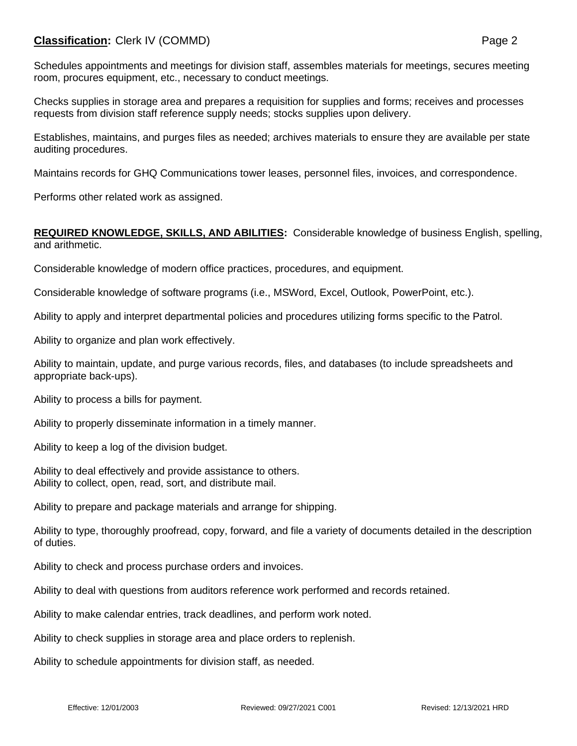## **Classification:** Clerk IV (COMMD) **Page 2**

Schedules appointments and meetings for division staff, assembles materials for meetings, secures meeting room, procures equipment, etc., necessary to conduct meetings.

Checks supplies in storage area and prepares a requisition for supplies and forms; receives and processes requests from division staff reference supply needs; stocks supplies upon delivery.

Establishes, maintains, and purges files as needed; archives materials to ensure they are available per state auditing procedures.

Maintains records for GHQ Communications tower leases, personnel files, invoices, and correspondence.

Performs other related work as assigned.

## **REQUIRED KNOWLEDGE, SKILLS, AND ABILITIES:** Considerable knowledge of business English, spelling, and arithmetic.

Considerable knowledge of modern office practices, procedures, and equipment.

Considerable knowledge of software programs (i.e., MSWord, Excel, Outlook, PowerPoint, etc.).

Ability to apply and interpret departmental policies and procedures utilizing forms specific to the Patrol.

Ability to organize and plan work effectively.

Ability to maintain, update, and purge various records, files, and databases (to include spreadsheets and appropriate back-ups).

Ability to process a bills for payment.

Ability to properly disseminate information in a timely manner.

Ability to keep a log of the division budget.

Ability to deal effectively and provide assistance to others. Ability to collect, open, read, sort, and distribute mail.

Ability to prepare and package materials and arrange for shipping.

Ability to type, thoroughly proofread, copy, forward, and file a variety of documents detailed in the description of duties.

Ability to check and process purchase orders and invoices.

Ability to deal with questions from auditors reference work performed and records retained.

Ability to make calendar entries, track deadlines, and perform work noted.

Ability to check supplies in storage area and place orders to replenish.

Ability to schedule appointments for division staff, as needed.